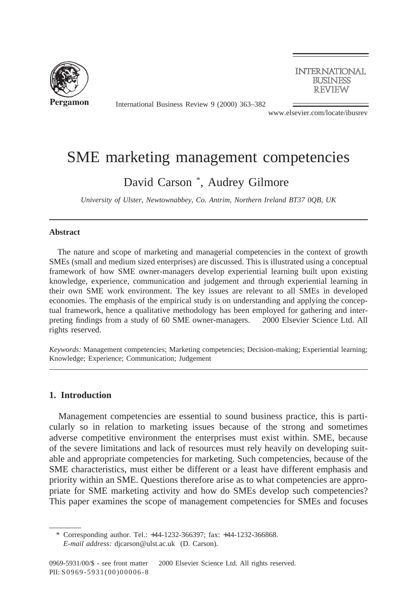

**INTERNATIONAL BUSINESS REVIEW** 

International Business Review 9 (2000) 363–382

www.elsevier.com/locate/ibusrev

# SME marketing management competencies

## David Carson \* , Audrey Gilmore

*University of Ulster, Newtownabbey, Co. Antrim, Northern Ireland BT37 0QB, UK*

#### **Abstract**

The nature and scope of marketing and managerial competencies in the context of growth SMEs (small and medium sized enterprises) are discussed. This is illustrated using a conceptual framework of how SME owner-managers develop experiential learning built upon existing knowledge, experience, communication and judgement and through experiential learning in their own SME work environment. The key issues are relevant to all SMEs in developed economies. The emphasis of the empirical study is on understanding and applying the conceptual framework, hence a qualitative methodology has been employed for gathering and interpreting findings from a study of 60 SME owner-managers.  $©$  2000 Elsevier Science Ltd. All rights reserved.

*Keywords:* Management competencies; Marketing competencies; Decision-making; Experiential learning; Knowledge; Experience; Communication; Judgement

## **1. Introduction**

Management competencies are essential to sound business practice, this is particularly so in relation to marketing issues because of the strong and sometimes adverse competitive environment the enterprises must exist within. SME, because of the severe limitations and lack of resources must rely heavily on developing suitable and appropriate competencies for marketing. Such competencies, because of the SME characteristics, must either be different or a least have different emphasis and priority within an SME. Questions therefore arise as to what competencies are appropriate for SME marketing activity and how do SMEs develop such competencies? This paper examines the scope of management competencies for SMEs and focuses

<sup>\*</sup> Corresponding author. Tel.: +44-1232-366397; fax: +44-1232-366868. *E-mail address:* djcarson@ulst.ac.uk (D. Carson).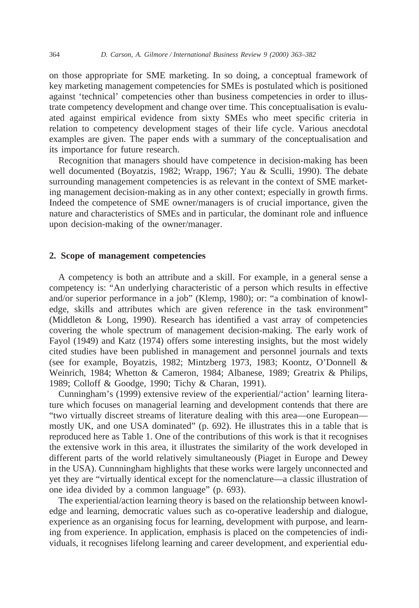on those appropriate for SME marketing. In so doing, a conceptual framework of key marketing management competencies for SMEs is postulated which is positioned against 'technical' competencies other than business competencies in order to illustrate competency development and change over time. This conceptualisation is evaluated against empirical evidence from sixty SMEs who meet specific criteria in relation to competency development stages of their life cycle. Various anecdotal examples are given. The paper ends with a summary of the conceptualisation and its importance for future research.

Recognition that managers should have competence in decision-making has been well documented (Boyatzis, 1982; Wrapp, 1967; Yau & Sculli, 1990). The debate surrounding management competencies is as relevant in the context of SME marketing management decision-making as in any other context; especially in growth firms. Indeed the competence of SME owner/managers is of crucial importance, given the nature and characteristics of SMEs and in particular, the dominant role and influence upon decision-making of the owner/manager.

### **2. Scope of management competencies**

A competency is both an attribute and a skill. For example, in a general sense a competency is: "An underlying characteristic of a person which results in effective and/or superior performance in a job" (Klemp, 1980); or: "a combination of knowledge, skills and attributes which are given reference in the task environment" (Middleton & Long, 1990). Research has identified a vast array of competencies covering the whole spectrum of management decision-making. The early work of Fayol (1949) and Katz (1974) offers some interesting insights, but the most widely cited studies have been published in management and personnel journals and texts (see for example, Boyatzis, 1982; Mintzberg 1973, 1983; Koontz, O'Donnell & Weinrich, 1984; Whetton & Cameron, 1984; Albanese, 1989; Greatrix & Philips, 1989; Colloff & Goodge, 1990; Tichy & Charan, 1991).

Cunningham's (1999) extensive review of the experiential/'action' learning literature which focuses on managerial learning and development contends that there are "two virtually discreet streams of literature dealing with this area—one European mostly UK, and one USA dominated" (p. 692). He illustrates this in a table that is reproduced here as Table 1. One of the contributions of this work is that it recognises the extensive work in this area, it illustrates the similarity of the work developed in different parts of the world relatively simultaneously (Piaget in Europe and Dewey in the USA). Cunnningham highlights that these works were largely unconnected and yet they are "virtually identical except for the nomenclature—a classic illustration of one idea divided by a common language" (p. 693).

The experiential/action learning theory is based on the relationship between knowledge and learning, democratic values such as co-operative leadership and dialogue, experience as an organising focus for learning, development with purpose, and learning from experience. In application, emphasis is placed on the competencies of individuals, it recognises lifelong learning and career development, and experiential edu-